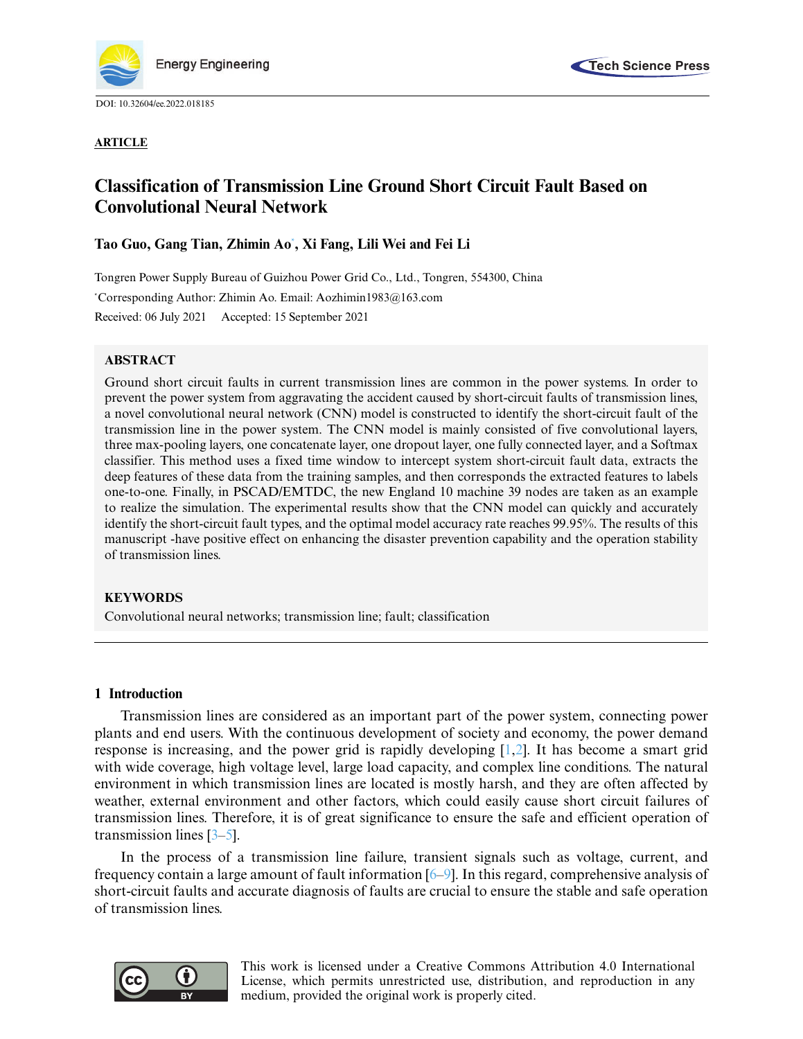

DOI: [10.32604/ee.2022.018185](http://dx.doi.org/10.32604/ee.2022.018185)





# **Classification of Transmission Line Ground Short Circuit Fault Based on Convolutional Neural Network**

## **Tao Guo, Gang Tian, Zhimin Ao[\\*](#page-0-0) , Xi Fang, Lili Wei and Fei Li**

<span id="page-0-0"></span>Tongren Power Supply Bureau of Guizhou Power Grid Co., Ltd., Tongren, 554300, China \*Corresponding Author: Zhimin Ao. Email: [Aozhimin1983@163.com](mailto:Aozhimin1983@163.com) Received: 06 July 2021 Accepted: 15 September 2021

## **ABSTRACT**

Ground short circuit faults in current transmission lines are common in the power systems. In order to prevent the power system from aggravating the accident caused by short-circuit faults of transmission lines, a novel convolutional neural network (CNN) model is constructed to identify the short-circuit fault of the transmission line in the power system. The CNN model is mainly consisted of five convolutional layers, three max-pooling layers, one concatenate layer, one dropout layer, one fully connected layer, and a Softmax classifier. This method uses a fixed time window to intercept system short-circuit fault data, extracts the deep features of these data from the training samples, and then corresponds the extracted features to labels one-to-one. Finally, in PSCAD/EMTDC, the new England 10 machine 39 nodes are taken as an example to realize the simulation. The experimental results show that the CNN model can quickly and accurately identify the short-circuit fault types, and the optimal model accuracy rate reaches 99.95%. The results of this manuscript -have positive effect on enhancing the disaster prevention capability and the operation stability of transmission lines.

## **KEYWORDS**

Convolutional neural networks; transmission line; fault; classification

## **1 Introduction**

Transmission lines are considered as an important part of the power system, connecting power plants and end users. With the continuous development of society and economy, the power demand response is increasing, and the power grid is rapidly developing [\[1,](#page-9-0)[2\]](#page-9-1). It has become a smart grid with wide coverage, high voltage level, large load capacity, and complex line conditions. The natural environment in which transmission lines are located is mostly harsh, and they are often affected by weather, external environment and other factors, which could easily cause short circuit failures of transmission lines. Therefore, it is of great significance to ensure the safe and efficient operation of transmission lines [\[3](#page-9-2)[–5\]](#page-9-3).

In the process of a transmission line failure, transient signals such as voltage, current, and frequency contain a large amount of fault information [\[6](#page-10-0)[–9\]](#page-10-1). In this regard, comprehensive analysis of short-circuit faults and accurate diagnosis of faults are crucial to ensure the stable and safe operation of transmission lines.



This work is licensed under a Creative Commons Attribution 4.0 International License, which permits unrestricted use, distribution, and reproduction in any medium, provided the original work is properly cited.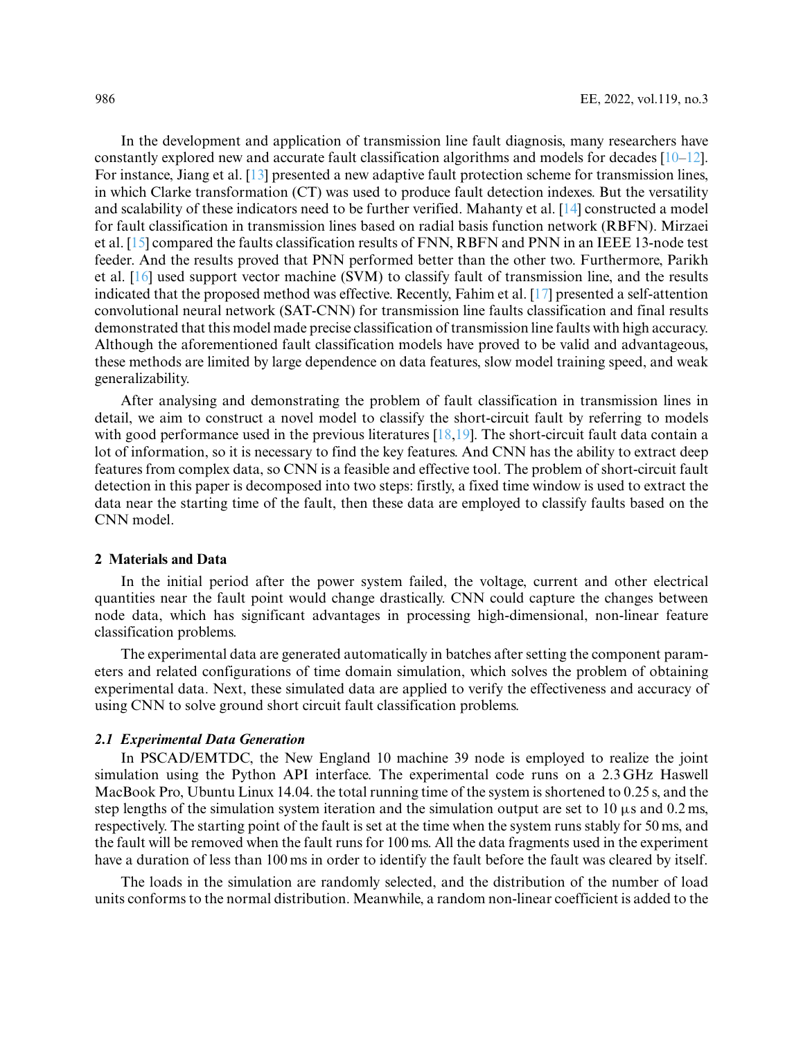In the development and application of transmission line fault diagnosis, many researchers have constantly explored new and accurate fault classification algorithms and models for decades  $[10-12]$  $[10-12]$ . For instance, Jiang et al. [\[13\]](#page-10-4) presented a new adaptive fault protection scheme for transmission lines, in which Clarke transformation (CT) was used to produce fault detection indexes. But the versatility and scalability of these indicators need to be further verified. Mahanty et al. [\[14\]](#page-10-5) constructed a model for fault classification in transmission lines based on radial basis function network (RBFN). Mirzaei et al. [\[15\]](#page-10-6) compared the faults classification results of FNN, RBFN and PNN in an IEEE 13-node test feeder. And the results proved that PNN performed better than the other two. Furthermore, Parikh et al. [\[16\]](#page-10-7) used support vector machine (SVM) to classify fault of transmission line, and the results indicated that the proposed method was effective. Recently, Fahim et al. [\[17\]](#page-10-8) presented a self-attention convolutional neural network (SAT-CNN) for transmission line faults classification and final results demonstrated that this model made precise classification of transmission line faults with high accuracy. Although the aforementioned fault classification models have proved to be valid and advantageous, these methods are limited by large dependence on data features, slow model training speed, and weak generalizability.

After analysing and demonstrating the problem of fault classification in transmission lines in detail, we aim to construct a novel model to classify the short-circuit fault by referring to models with good performance used in the previous literatures [\[18](#page-10-9)[,19\]](#page-10-10). The short-circuit fault data contain a lot of information, so it is necessary to find the key features. And CNN has the ability to extract deep features from complex data, so CNN is a feasible and effective tool. The problem of short-circuit fault detection in this paper is decomposed into two steps: firstly, a fixed time window is used to extract the data near the starting time of the fault, then these data are employed to classify faults based on the CNN model.

## **2 Materials and Data**

In the initial period after the power system failed, the voltage, current and other electrical quantities near the fault point would change drastically. CNN could capture the changes between node data, which has significant advantages in processing high-dimensional, non-linear feature classification problems.

The experimental data are generated automatically in batches after setting the component parameters and related configurations of time domain simulation, which solves the problem of obtaining experimental data. Next, these simulated data are applied to verify the effectiveness and accuracy of using CNN to solve ground short circuit fault classification problems.

## *2.1 Experimental Data Generation*

In PSCAD/EMTDC, the New England 10 machine 39 node is employed to realize the joint simulation using the Python API interface. The experimental code runs on a 2.3 GHz Haswell MacBook Pro, Ubuntu Linux 14.04. the total running time of the system is shortened to 0.25 s, and the step lengths of the simulation system iteration and the simulation output are set to 10  $\mu$ s and 0.2 ms, respectively. The starting point of the fault is set at the time when the system runs stably for 50 ms, and the fault will be removed when the fault runs for 100 ms. All the data fragments used in the experiment have a duration of less than 100 ms in order to identify the fault before the fault was cleared by itself.

The loads in the simulation are randomly selected, and the distribution of the number of load units conforms to the normal distribution. Meanwhile, a random non-linear coefficient is added to the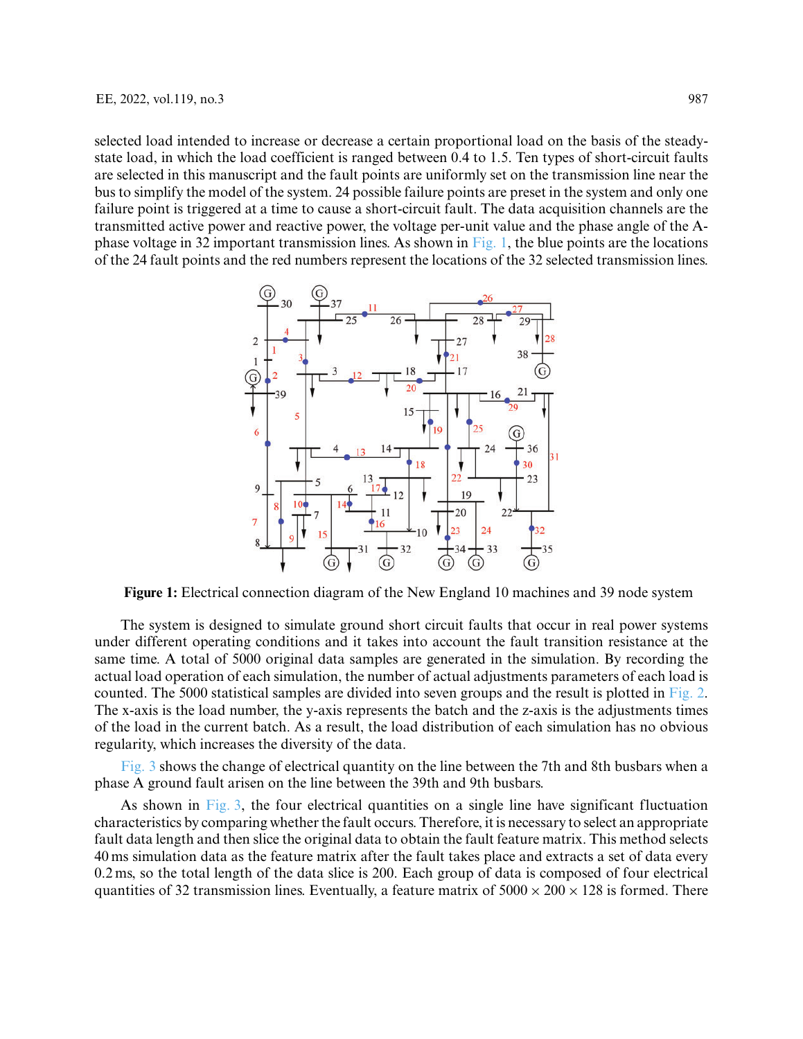selected load intended to increase or decrease a certain proportional load on the basis of the steadystate load, in which the load coefficient is ranged between 0.4 to 1.5. Ten types of short-circuit faults are selected in this manuscript and the fault points are uniformly set on the transmission line near the bus to simplify the model of the system. 24 possible failure points are preset in the system and only one failure point is triggered at a time to cause a short-circuit fault. The data acquisition channels are the transmitted active power and reactive power, the voltage per-unit value and the phase angle of the A-phase voltage in 32 important transmission lines. As shown in [Fig. 1,](#page-2-0) the blue points are the locations of the 24 fault points and the red numbers represent the locations of the 32 selected transmission lines.



<span id="page-2-0"></span>**Figure 1:** Electrical connection diagram of the New England 10 machines and 39 node system

The system is designed to simulate ground short circuit faults that occur in real power systems under different operating conditions and it takes into account the fault transition resistance at the same time. A total of 5000 original data samples are generated in the simulation. By recording the actual load operation of each simulation, the number of actual adjustments parameters of each load is counted. The 5000 statistical samples are divided into seven groups and the result is plotted in [Fig. 2.](#page-3-0) The x-axis is the load number, the y-axis represents the batch and the z-axis is the adjustments times of the load in the current batch. As a result, the load distribution of each simulation has no obvious regularity, which increases the diversity of the data.

[Fig. 3](#page-3-1) shows the change of electrical quantity on the line between the 7th and 8th busbars when a phase A ground fault arisen on the line between the 39th and 9th busbars.

As shown in [Fig. 3,](#page-3-1) the four electrical quantities on a single line have significant fluctuation characteristics by comparing whether the fault occurs. Therefore, it is necessary to select an appropriate fault data length and then slice the original data to obtain the fault feature matrix. This method selects 40 ms simulation data as the feature matrix after the fault takes place and extracts a set of data every 0.2 ms, so the total length of the data slice is 200. Each group of data is composed of four electrical quantities of 32 transmission lines. Eventually, a feature matrix of  $5000 \times 200 \times 128$  is formed. There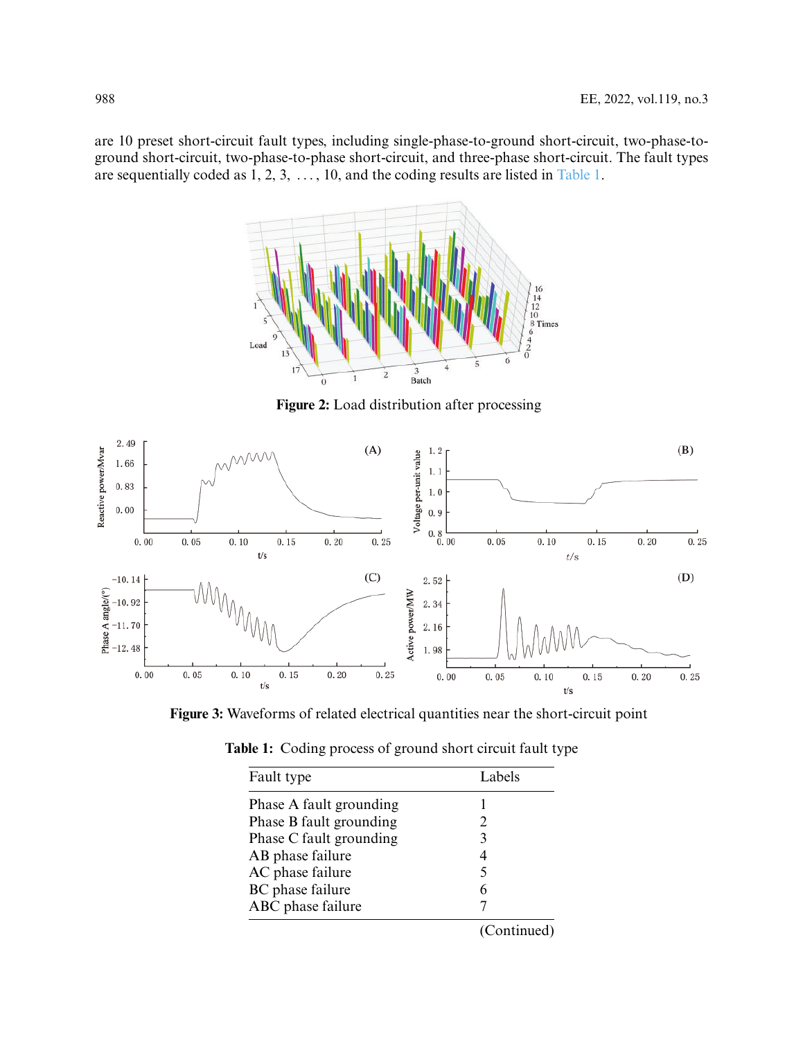are 10 preset short-circuit fault types, including single-phase-to-ground short-circuit, two-phase-toground short-circuit, two-phase-to-phase short-circuit, and three-phase short-circuit. The fault types are sequentially coded as 1, 2, 3, *...* , 10, and the coding results are listed in [Table 1.](#page-3-2)



**Figure 2:** Load distribution after processing

<span id="page-3-0"></span>

<span id="page-3-1"></span>**Figure 3:** Waveforms of related electrical quantities near the short-circuit point

<span id="page-3-2"></span>

| Fault type              | Labels      |
|-------------------------|-------------|
| Phase A fault grounding |             |
| Phase B fault grounding |             |
| Phase C fault grounding | 3           |
| AB phase failure        |             |
| AC phase failure        | 5           |
| BC phase failure        |             |
| ABC phase failure       |             |
|                         | (Continued) |

**Table 1:** Coding process of ground short circuit fault type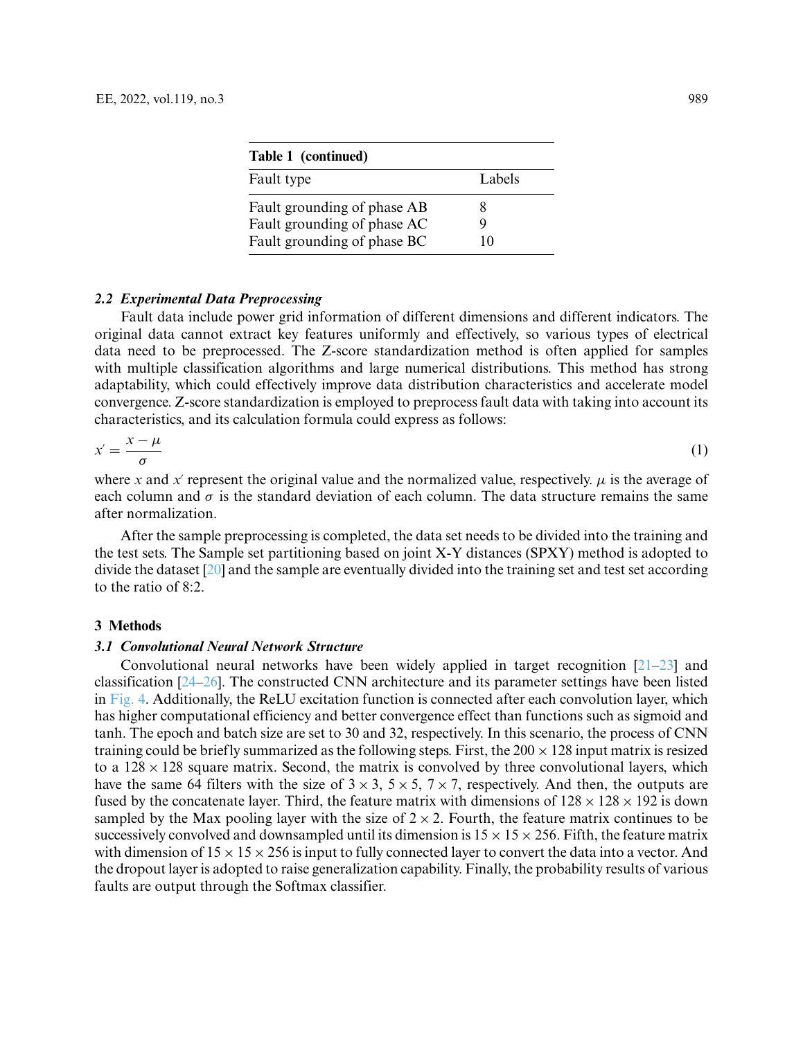| Table 1 (continued)                                        |        |
|------------------------------------------------------------|--------|
| Fault type                                                 | Labels |
| Fault grounding of phase AB<br>Fault grounding of phase AC | x      |
| Fault grounding of phase BC                                | 10     |

## *2.2 Experimental Data Preprocessing*

Fault data include power grid information of different dimensions and different indicators. The original data cannot extract key features uniformly and effectively, so various types of electrical data need to be preprocessed. The Z-score standardization method is often applied for samples with multiple classification algorithms and large numerical distributions. This method has strong adaptability, which could effectively improve data distribution characteristics and accelerate model convergence. Z-score standardization is employed to preprocess fault data with taking into account its characteristics, and its calculation formula could express as follows:

$$
x' = \frac{x - \mu}{\sigma} \tag{1}
$$

where *x* and *x*<sup>-</sup> represent the original value and the normalized value, respectively.  $\mu$  is the average of each column and  $\sigma$  is the standard deviation of each column. The data structure remains the same after normalization.

After the sample preprocessing is completed, the data set needs to be divided into the training and the test sets. The Sample set partitioning based on joint X-Y distances (SPXY) method is adopted to divide the dataset [\[20\]](#page-10-11) and the sample are eventually divided into the training set and test set according to the ratio of 8:2.

#### **3 Methods**

#### *3.1 Convolutional Neural Network Structure*

Convolutional neural networks have been widely applied in target recognition  $[21-23]$  $[21-23]$  and classification [\[24](#page-11-1)[–26\]](#page-11-2). The constructed CNN architecture and its parameter settings have been listed in [Fig. 4.](#page-5-0) Additionally, the ReLU excitation function is connected after each convolution layer, which has higher computational efficiency and better convergence effect than functions such as sigmoid and tanh. The epoch and batch size are set to 30 and 32, respectively. In this scenario, the process of CNN training could be briefly summarized as the following steps. First, the  $200 \times 128$  input matrix is resized to a  $128 \times 128$  square matrix. Second, the matrix is convolved by three convolutional layers, which have the same 64 filters with the size of  $3 \times 3$ ,  $5 \times 5$ ,  $7 \times 7$ , respectively. And then, the outputs are fused by the concatenate layer. Third, the feature matrix with dimensions of  $128 \times 128 \times 192$  is down sampled by the Max pooling layer with the size of  $2 \times 2$ . Fourth, the feature matrix continues to be successively convolved and downsampled until its dimension is  $15 \times 15 \times 256$ . Fifth, the feature matrix with dimension of  $15 \times 15 \times 256$  is input to fully connected layer to convert the data into a vector. And the dropout layer is adopted to raise generalization capability. Finally, the probability results of various faults are output through the Softmax classifier.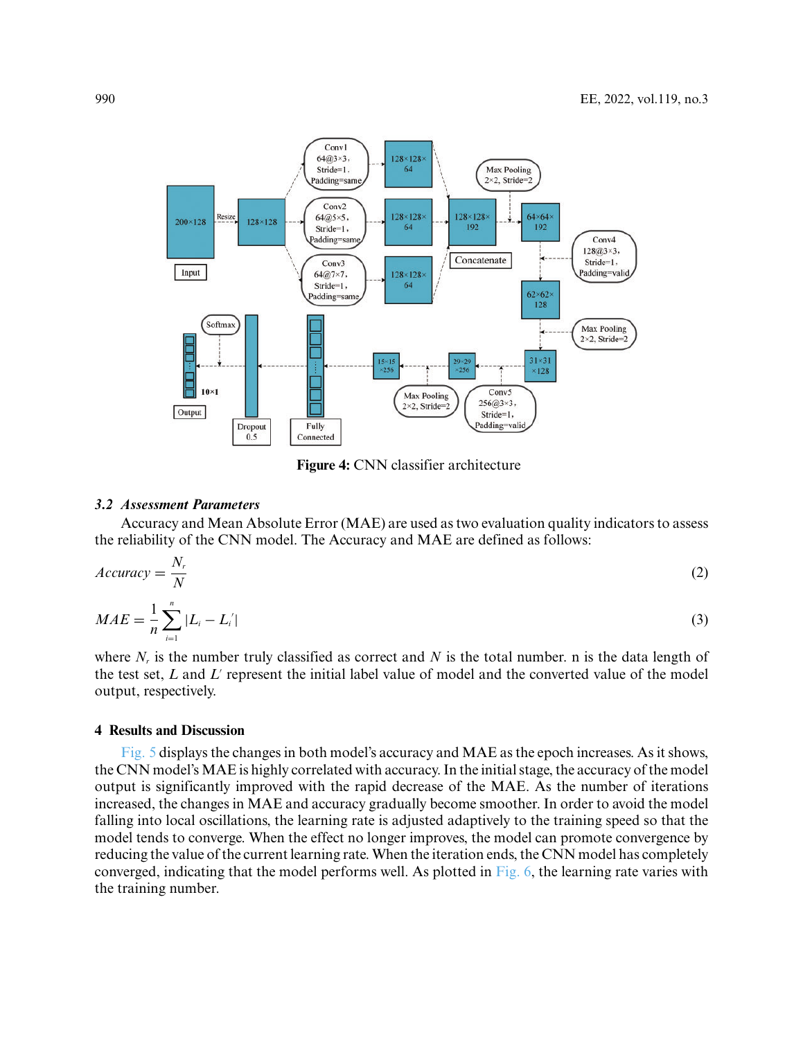

**Figure 4:** CNN classifier architecture

#### <span id="page-5-0"></span>*3.2 Assessment Parameters*

Accuracy and Mean Absolute Error (MAE) are used as two evaluation quality indicators to assess the reliability of the CNN model. The Accuracy and MAE are defined as follows:

$$
Accuracy = \frac{N_r}{N}
$$
 (2)

$$
MAE = \frac{1}{n} \sum_{i=1}^{n} |L_i - L'_i|
$$
 (3)

where  $N_r$  is the number truly classified as correct and  $N$  is the total number. n is the data length of the test set, *L* and *L*<sup>-</sup> represent the initial label value of model and the converted value of the model output, respectively.

#### **4 Results and Discussion**

[Fig. 5](#page-6-0) displays the changes in both model's accuracy and MAE as the epoch increases. As it shows, the CNN model's MAE is highly correlated with accuracy. In the initial stage, the accuracy of the model output is significantly improved with the rapid decrease of the MAE. As the number of iterations increased, the changes in MAE and accuracy gradually become smoother. In order to avoid the model falling into local oscillations, the learning rate is adjusted adaptively to the training speed so that the model tends to converge. When the effect no longer improves, the model can promote convergence by reducing the value of the current learning rate. When the iteration ends, the CNN model has completely converged, indicating that the model performs well. As plotted in [Fig. 6,](#page-6-1) the learning rate varies with the training number.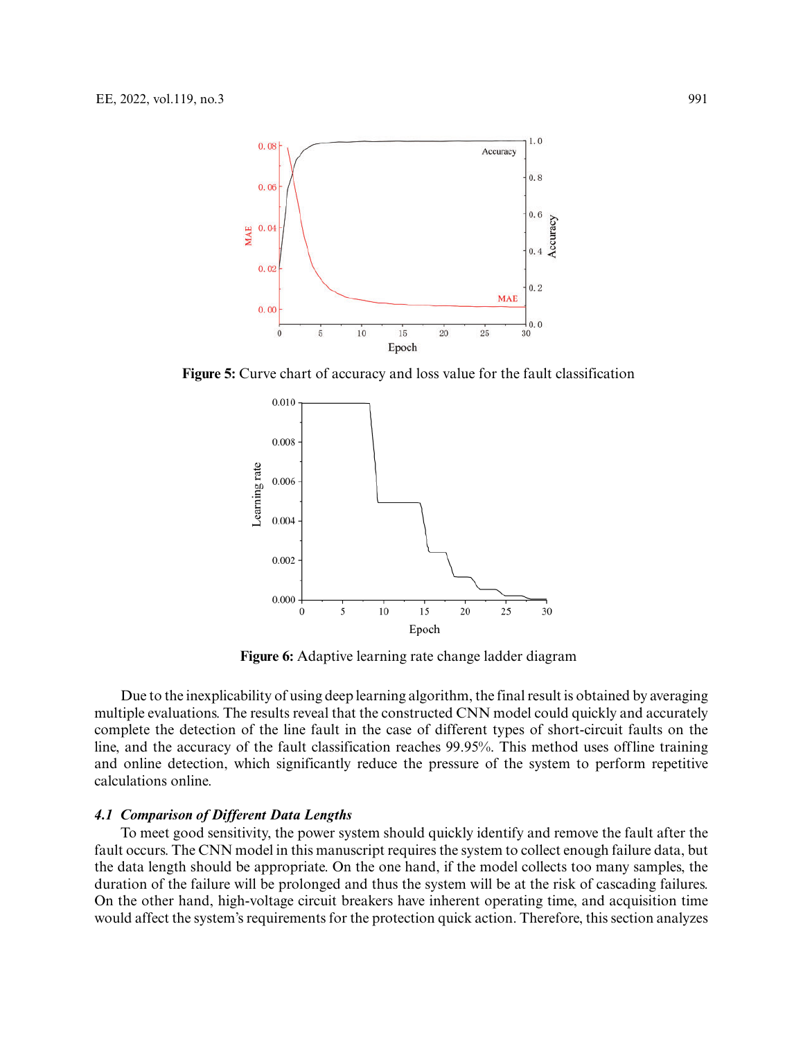

<span id="page-6-0"></span>**Figure 5:** Curve chart of accuracy and loss value for the fault classification



**Figure 6:** Adaptive learning rate change ladder diagram

<span id="page-6-1"></span>Due to the inexplicability of using deep learning algorithm, the final result is obtained by averaging multiple evaluations. The results reveal that the constructed CNN model could quickly and accurately complete the detection of the line fault in the case of different types of short-circuit faults on the line, and the accuracy of the fault classification reaches 99.95%. This method uses offline training and online detection, which significantly reduce the pressure of the system to perform repetitive calculations online.

#### *4.1 Comparison of Different Data Lengths*

To meet good sensitivity, the power system should quickly identify and remove the fault after the fault occurs. The CNN model in this manuscript requires the system to collect enough failure data, but the data length should be appropriate. On the one hand, if the model collects too many samples, the duration of the failure will be prolonged and thus the system will be at the risk of cascading failures. On the other hand, high-voltage circuit breakers have inherent operating time, and acquisition time would affect the system's requirements for the protection quick action. Therefore, this section analyzes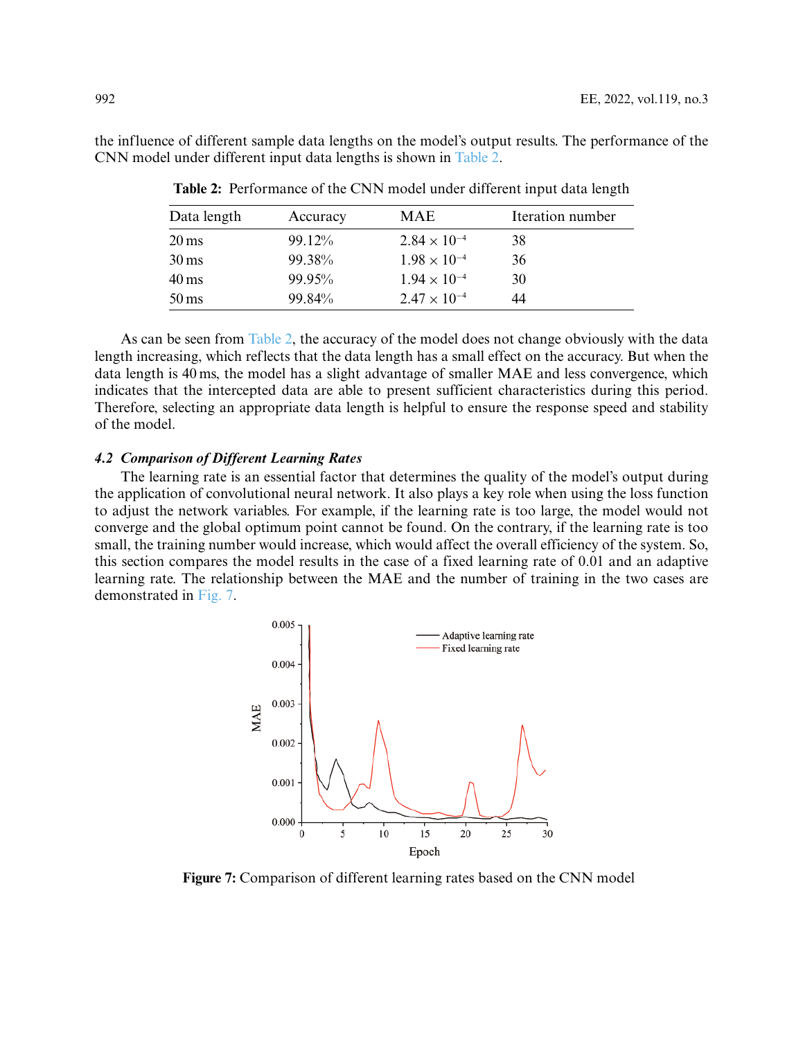<span id="page-7-0"></span>the influence of different sample data lengths on the model's output results. The performance of the CNN model under different input data lengths is shown in [Table 2.](#page-7-0)

| Data length        | Accuracy | <b>MAE</b>            | Iteration number |
|--------------------|----------|-----------------------|------------------|
| $20 \,\mathrm{ms}$ | 99.12%   | $2.84 \times 10^{-4}$ | 38               |
| $30 \,\mathrm{ms}$ | 99.38%   | $1.98 \times 10^{-4}$ | 36               |
| $40 \,\mathrm{ms}$ | 99.95%   | $1.94 \times 10^{-4}$ | 30               |
| $50 \,\mathrm{ms}$ | 99.84%   | $2.47 \times 10^{-4}$ | 44               |

**Table 2:** Performance of the CNN model under different input data length

As can be seen from [Table 2,](#page-7-0) the accuracy of the model does not change obviously with the data length increasing, which reflects that the data length has a small effect on the accuracy. But when the data length is 40 ms, the model has a slight advantage of smaller MAE and less convergence, which indicates that the intercepted data are able to present sufficient characteristics during this period. Therefore, selecting an appropriate data length is helpful to ensure the response speed and stability of the model.

## *4.2 Comparison of Different Learning Rates*

The learning rate is an essential factor that determines the quality of the model's output during the application of convolutional neural network. It also plays a key role when using the loss function to adjust the network variables. For example, if the learning rate is too large, the model would not converge and the global optimum point cannot be found. On the contrary, if the learning rate is too small, the training number would increase, which would affect the overall efficiency of the system. So, this section compares the model results in the case of a fixed learning rate of 0.01 and an adaptive learning rate. The relationship between the MAE and the number of training in the two cases are demonstrated in [Fig. 7.](#page-7-1)



<span id="page-7-1"></span>**Figure 7:** Comparison of different learning rates based on the CNN model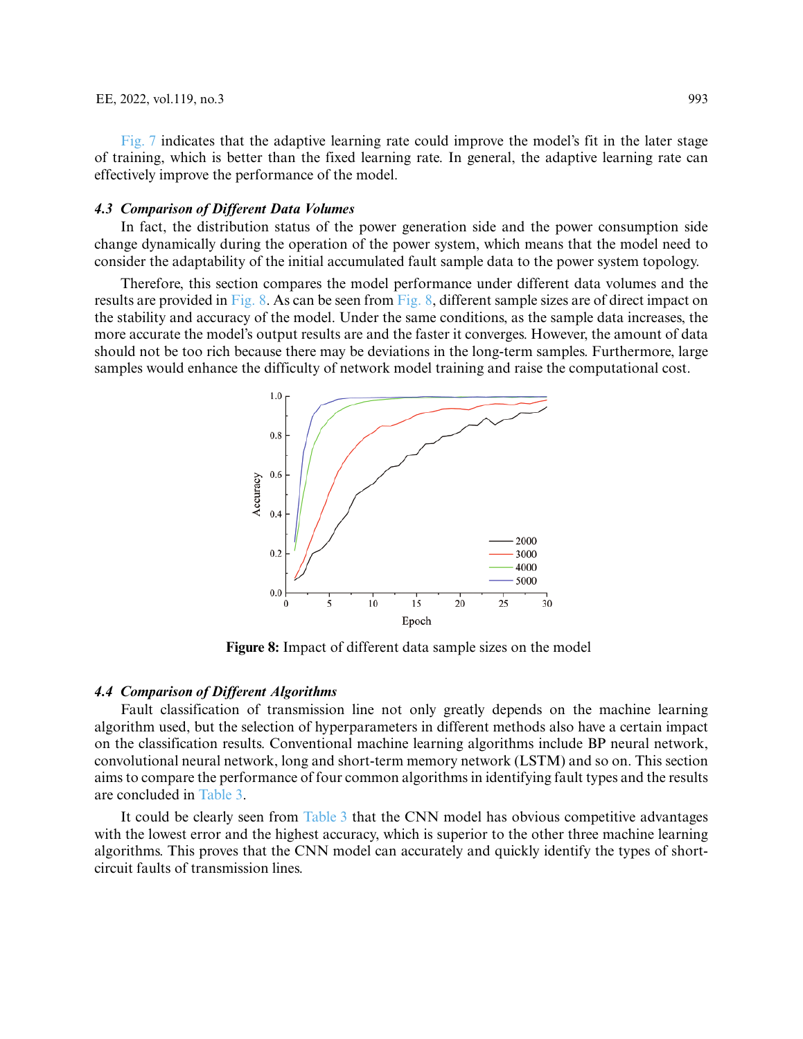[Fig. 7](#page-7-1) indicates that the adaptive learning rate could improve the model's fit in the later stage of training, which is better than the fixed learning rate. In general, the adaptive learning rate can effectively improve the performance of the model.

#### *4.3 Comparison of Different Data Volumes*

In fact, the distribution status of the power generation side and the power consumption side change dynamically during the operation of the power system, which means that the model need to consider the adaptability of the initial accumulated fault sample data to the power system topology.

Therefore, this section compares the model performance under different data volumes and the results are provided in [Fig. 8.](#page-8-0) As can be seen from [Fig. 8,](#page-8-0) different sample sizes are of direct impact on the stability and accuracy of the model. Under the same conditions, as the sample data increases, the more accurate the model's output results are and the faster it converges. However, the amount of data should not be too rich because there may be deviations in the long-term samples. Furthermore, large samples would enhance the difficulty of network model training and raise the computational cost.



**Figure 8:** Impact of different data sample sizes on the model

## <span id="page-8-0"></span>*4.4 Comparison of Different Algorithms*

Fault classification of transmission line not only greatly depends on the machine learning algorithm used, but the selection of hyperparameters in different methods also have a certain impact on the classification results. Conventional machine learning algorithms include BP neural network, convolutional neural network, long and short-term memory network (LSTM) and so on. This section aims to compare the performance of four common algorithms in identifying fault types and the results are concluded in [Table 3.](#page-9-4)

It could be clearly seen from [Table 3](#page-9-4) that the CNN model has obvious competitive advantages with the lowest error and the highest accuracy, which is superior to the other three machine learning algorithms. This proves that the CNN model can accurately and quickly identify the types of shortcircuit faults of transmission lines.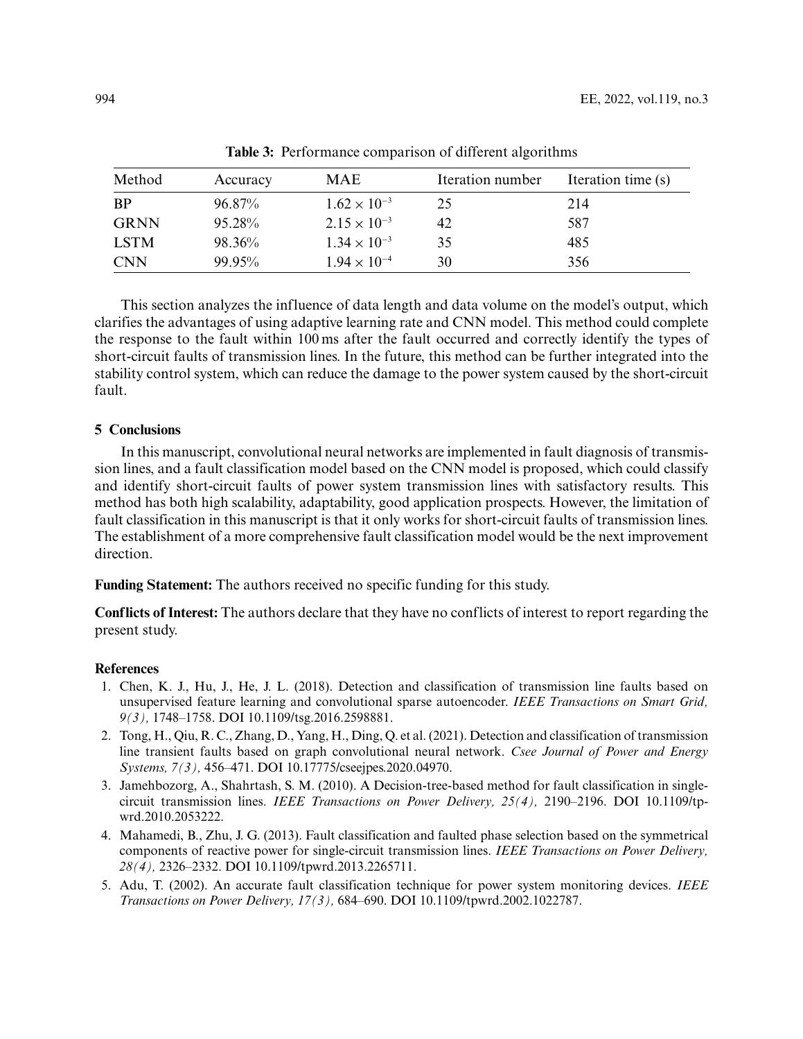<span id="page-9-4"></span>

| Method      | Accuracy | MAE                   | Iteration number | Iteration time (s) |  |  |  |
|-------------|----------|-----------------------|------------------|--------------------|--|--|--|
| <b>BP</b>   | 96.87%   | $1.62 \times 10^{-3}$ | 25               | 214                |  |  |  |
| <b>GRNN</b> | 95.28%   | $2.15 \times 10^{-3}$ | 42               | 587                |  |  |  |
| <b>LSTM</b> | 98.36%   | $1.34 \times 10^{-3}$ | 35               | 485                |  |  |  |
| <b>CNN</b>  | 99.95%   | $1.94 \times 10^{-4}$ | 30               | 356                |  |  |  |

**Table 3:** Performance comparison of different algorithms

This section analyzes the influence of data length and data volume on the model's output, which clarifies the advantages of using adaptive learning rate and CNN model. This method could complete the response to the fault within 100 ms after the fault occurred and correctly identify the types of short-circuit faults of transmission lines. In the future, this method can be further integrated into the stability control system, which can reduce the damage to the power system caused by the short-circuit fault.

## **5 Conclusions**

In this manuscript, convolutional neural networks are implemented in fault diagnosis of transmission lines, and a fault classification model based on the CNN model is proposed, which could classify and identify short-circuit faults of power system transmission lines with satisfactory results. This method has both high scalability, adaptability, good application prospects. However, the limitation of fault classification in this manuscript is that it only works for short-circuit faults of transmission lines. The establishment of a more comprehensive fault classification model would be the next improvement direction.

**Funding Statement:** The authors received no specific funding for this study.

**Conflicts of Interest:** The authors declare that they have no conflicts of interest to report regarding the present study.

#### **References**

- <span id="page-9-0"></span>1. Chen, K. J., Hu, J., He, J. L. (2018). Detection and classification of transmission line faults based on unsupervised feature learning and convolutional sparse autoencoder. *IEEE Transactions on Smart Grid, 9(3),* 1748–1758. DOI [10.1109/tsg.2016.2598881.](https://doi.org/10.1109/tsg.2016.2598881)
- <span id="page-9-1"></span>2. Tong, H., Qiu, R. C., Zhang, D., Yang, H., Ding, Q. et al. (2021). Detection and classification of transmission line transient faults based on graph convolutional neural network. *Csee Journal of Power and Energy Systems, 7(3),* 456–471. DOI [10.17775/cseejpes.2020.04970.](https://doi.org/10.17775/cseejpes.2020.04970)
- <span id="page-9-2"></span>3. Jamehbozorg, A., Shahrtash, S. M. (2010). A Decision-tree-based method for fault classification in singlecircuit transmission lines. *[IEEE Transactions on Power Delivery, 25\(4\),](https://doi.org/10.1109/tpwrd.2010.2053222)* 2190–2196. DOI 10.1109/tpwrd.2010.2053222.
- 4. Mahamedi, B., Zhu, J. G. (2013). Fault classification and faulted phase selection based on the symmetrical components of reactive power for single-circuit transmission lines. *IEEE Transactions on Power Delivery, 28(4),* 2326–2332. DOI [10.1109/tpwrd.2013.2265711.](https://doi.org/10.1109/tpwrd.2013.2265711)
- <span id="page-9-3"></span>5. Adu, T. (2002). An accurate fault classification technique for power system monitoring devices. *IEEE Transactions on Power Delivery, 17(3),* 684–690. DOI [10.1109/tpwrd.2002.1022787.](https://doi.org/10.1109/tpwrd.2002.1022787)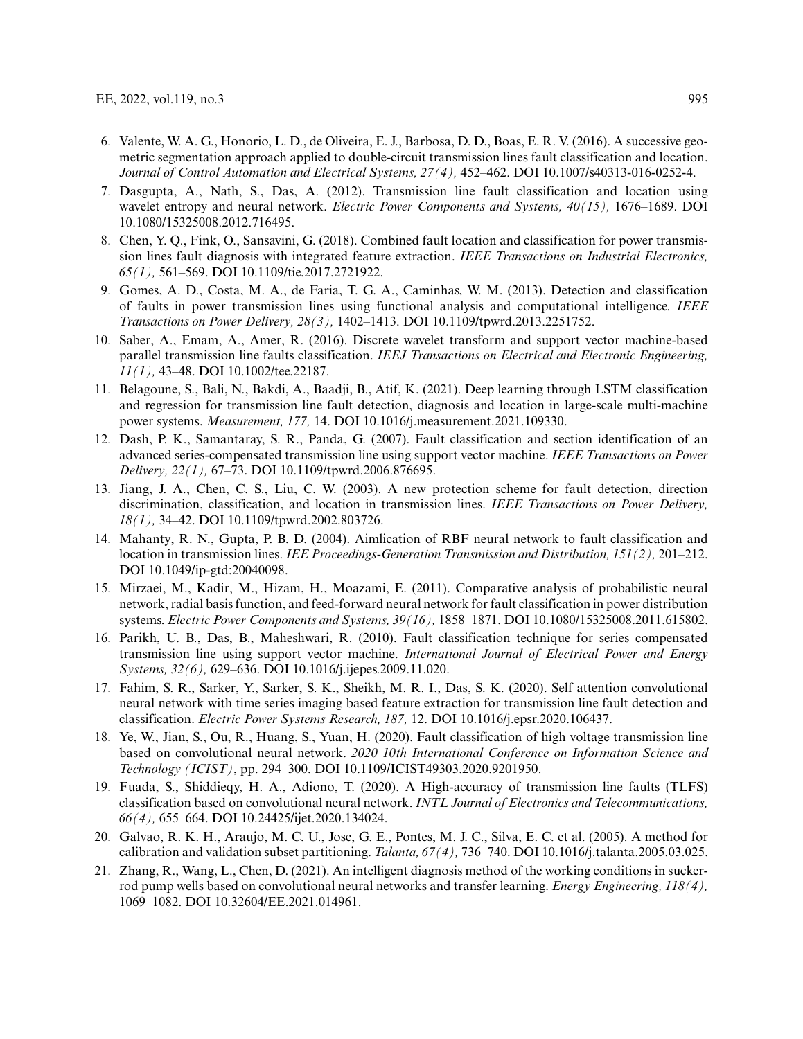- <span id="page-10-0"></span>6. Valente, W. A. G., Honorio, L. D., de Oliveira, E. J., Barbosa, D. D., Boas, E. R. V. (2016). A successive geometric segmentation approach applied to double-circuit transmission lines fault classification and location. *Journal of Control Automation and Electrical Systems, 27(4),* 452–462. DOI [10.1007/s40313-016-0252-4.](https://doi.org/10.1007/s40313-016-0252-4)
- 7. Dasgupta, A., Nath, S., Das, A. (2012). Transmission line fault classification and location using wavelet entropy and neural network. *Electric Power Components and Systems, 40(15),* 1676–1689. DOI [10.1080/15325008.2012.716495.](https://doi.org/10.1080/15325008.2012.716495)
- 8. Chen, Y. Q., Fink, O., Sansavini, G. (2018). Combined fault location and classification for power transmission lines fault diagnosis with integrated feature extraction. *IEEE Transactions on Industrial Electronics, 65(1),* 561–569. DOI [10.1109/tie.2017.2721922.](https://doi.org/10.1109/tie.2017.2721922)
- <span id="page-10-1"></span>9. Gomes, A. D., Costa, M. A., de Faria, T. G. A., Caminhas, W. M. (2013). Detection and classification of faults in power transmission lines using functional analysis and computational intelligence. *IEEE Transactions on Power Delivery, 28(3),* 1402–1413. DOI [10.1109/tpwrd.2013.2251752.](https://doi.org/10.1109/tpwrd.2013.2251752)
- <span id="page-10-2"></span>10. Saber, A., Emam, A., Amer, R. (2016). Discrete wavelet transform and support vector machine-based parallel transmission line faults classification. *IEEJ Transactions on Electrical and Electronic Engineering, 11(1),* 43–48. DOI [10.1002/tee.22187.](https://doi.org/10.1002/tee.22187)
- 11. Belagoune, S., Bali, N., Bakdi, A., Baadji, B., Atif, K. (2021). Deep learning through LSTM classification and regression for transmission line fault detection, diagnosis and location in large-scale multi-machine power systems. *Measurement, 177,* 14. DOI [10.1016/j.measurement.2021.109330.](https://doi.org/10.1016/j.measurement.2021.109330)
- <span id="page-10-3"></span>12. Dash, P. K., Samantaray, S. R., Panda, G. (2007). Fault classification and section identification of an advanced series-compensated transmission line using support vector machine. *IEEE Transactions on Power Delivery, 22(1),* 67–73. DOI [10.1109/tpwrd.2006.876695.](https://doi.org/10.1109/tpwrd.2006.876695)
- <span id="page-10-4"></span>13. Jiang, J. A., Chen, C. S., Liu, C. W. (2003). A new protection scheme for fault detection, direction discrimination, classification, and location in transmission lines. *IEEE Transactions on Power Delivery, 18(1),* 34–42. DOI [10.1109/tpwrd.2002.803726.](https://doi.org/10.1109/tpwrd.2002.803726)
- <span id="page-10-5"></span>14. Mahanty, R. N., Gupta, P. B. D. (2004). Aimlication of RBF neural network to fault classification and location in transmission lines. *IEE Proceedings-Generation Transmission and Distribution, 151(2),* 201–212. DOI [10.1049/ip-gtd:20040098.](https://doi.org/10.1049/ip-gtd:20040098)
- <span id="page-10-6"></span>15. Mirzaei, M., Kadir, M., Hizam, H., Moazami, E. (2011). Comparative analysis of probabilistic neural network, radial basis function, and feed-forward neural network for fault classification in power distribution systems. *Electric Power Components and Systems, 39(16),* 1858–1871. DOI [10.1080/15325008.2011.615802.](https://doi.org/10.1080/15325008.2011.615802)
- <span id="page-10-7"></span>16. Parikh, U. B., Das, B., Maheshwari, R. (2010). Fault classification technique for series compensated transmission line using support vector machine. *International Journal of Electrical Power and Energy Systems, 32(6),* 629–636. DOI [10.1016/j.ijepes.2009.11.020.](https://doi.org/10.1016/j.ijepes.2009.11.020)
- <span id="page-10-8"></span>17. Fahim, S. R., Sarker, Y., Sarker, S. K., Sheikh, M. R. I., Das, S. K. (2020). Self attention convolutional neural network with time series imaging based feature extraction for transmission line fault detection and classification. *Electric Power Systems Research, 187,* 12. DOI [10.1016/j.epsr.2020.106437.](https://doi.org/10.1016/j.epsr.2020.106437)
- <span id="page-10-9"></span>18. Ye, W., Jian, S., Ou, R., Huang, S., Yuan, H. (2020). Fault classification of high voltage transmission line based on convolutional neural network. *2020 10th International Conference on Information Science and Technology (ICIST)*, pp. 294–300. DOI [10.1109/ICIST49303.2020.9201950.](https://doi.org/10.1109/ICIST49303.2020.9201950)
- <span id="page-10-10"></span>19. Fuada, S., Shiddieqy, H. A., Adiono, T. (2020). A High-accuracy of transmission line faults (TLFS) classification based on convolutional neural network. *INTL Journal of Electronics and Telecommunications, 66(4),* 655–664. DOI [10.24425/ijet.2020.134024.](https://doi.org/10.24425/ijet.2020.134024)
- <span id="page-10-11"></span>20. Galvao, R. K. H., Araujo, M. C. U., Jose, G. E., Pontes, M. J. C., Silva, E. C. et al. (2005). A method for calibration and validation subset partitioning. *Talanta, 67(4),* 736–740. DOI [10.1016/j.talanta.2005.03.025.](https://doi.org/10.1016/j.talanta.2005.03.025)
- <span id="page-10-12"></span>21. Zhang, R., Wang, L., Chen, D. (2021). An intelligent diagnosis method of the working conditions in suckerrod pump wells based on convolutional neural networks and transfer learning. *Energy Engineering, 118(4),* 1069–1082. DOI [10.32604/EE.2021.014961.](https://doi.org/10.32604/EE.2021.014961)